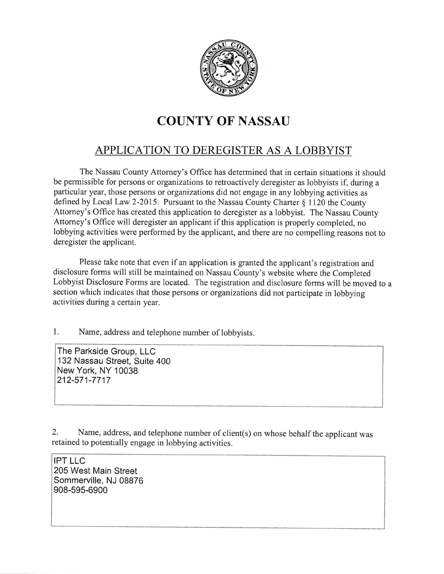

## COUNTY 0F NASSAU

## APPLICATION TO DEREGISTER AS A LOBBYIST

The Nassau County Attomey's Office has determined that in certain situations it should be permissible for persons or organizations to retroactively deregister as lobbyists if, during a particular year, those persons or organizations did not engage in any lobbying activities as defined by Local Law 2-2015. Pursuant to the Nassau County Charter § 1120 the County Attomey's Office has created this application to deregister as a lobbyist. The Nassau County Attomey's Office will deregister an applicant if this application is properly completed, no lobbying activities were performed by the applicant, and there are no compelling reasons not to deregister the applicant.

Please take note that even if an application is granted the applicant's registration and disclosure forms will still be maintained on Nassau County's website where the Completed Lobbyist Disclosure Foms are located. The registration and disclosure forms will be moved to a section which indicates that those persons or organizations did not participate in lobbying activities during a certain year.

1. Name, address and telephone number of lobbyists.

The Parkside Group, LLC 132 Nassau Street, Suite 400 New York, NY 10038 212-571 -7717

2. Name, address, and telephone number of client(s) on whose behalf the applicant was retained to potentially engage in lobbying activities.

IPT LLC 205 West Main Street Sommerville, NJ 08876 908-595-6900